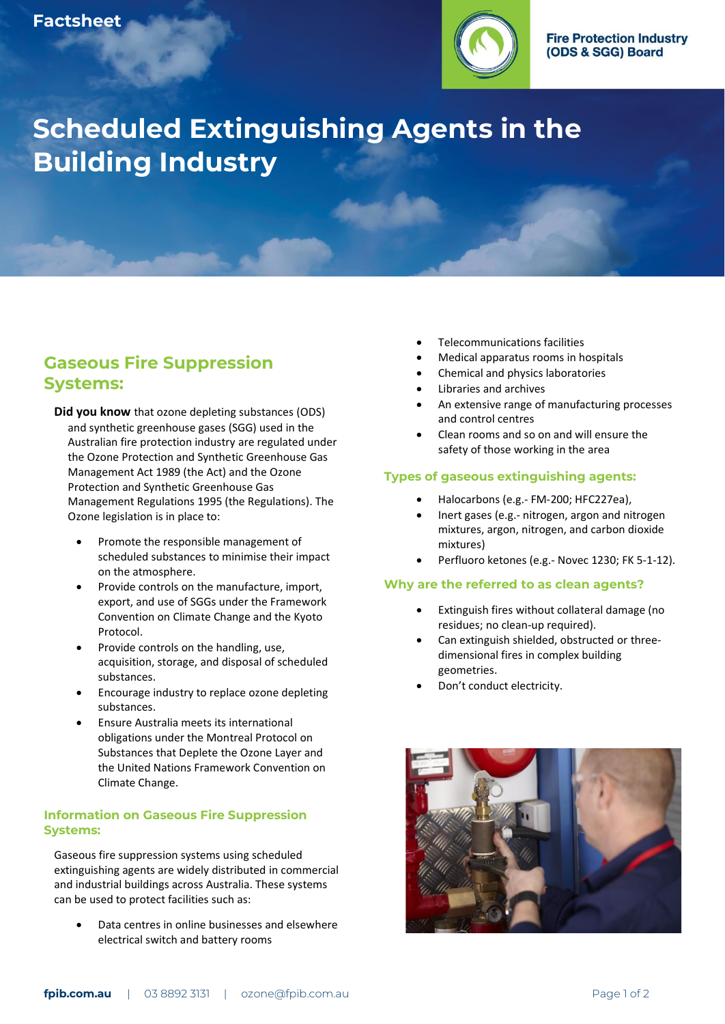

# **Scheduled Extinguishing Agents in the Building Industry**

## **Gaseous Fire Suppression Systems:**

**Did you know** that ozone depleting substances (ODS) and synthetic greenhouse gases (SGG) used in the Australian fire protection industry are regulated under the Ozone Protection and Synthetic Greenhouse Gas Management Act 1989 (the Act) and the Ozone Protection and Synthetic Greenhouse Gas Management Regulations 1995 (the Regulations). The Ozone legislation is in place to:

- Promote the responsible management of scheduled substances to minimise their impact on the atmosphere.
- Provide controls on the manufacture, import, export, and use of SGGs under the Framework Convention on Climate Change and the Kyoto Protocol.
- Provide controls on the handling, use, acquisition, storage, and disposal of scheduled substances.
- Encourage industry to replace ozone depleting substances.
- Ensure Australia meets its international obligations under the Montreal Protocol on Substances that Deplete the Ozone Layer and the United Nations Framework Convention on Climate Change.

#### **Information on Gaseous Fire Suppression Systems:**

Gaseous fire suppression systems using scheduled extinguishing agents are widely distributed in commercial and industrial buildings across Australia. These systems can be used to protect facilities such as:

Data centres in online businesses and elsewhere electrical switch and battery rooms

- Telecommunications facilities
- Medical apparatus rooms in hospitals
- Chemical and physics laboratories
- Libraries and archives
- An extensive range of manufacturing processes and control centres
- Clean rooms and so on and will ensure the safety of those working in the area

#### **Types of gaseous extinguishing agents:**

- Halocarbons (e.g.- FM-200; HFC227ea),
- Inert gases (e.g.- nitrogen, argon and nitrogen mixtures, argon, nitrogen, and carbon dioxide mixtures)
- Perfluoro ketones (e.g.- Novec 1230; FK 5-1-12).

#### **Why are the referred to as clean agents?**

- Extinguish fires without collateral damage (no residues; no clean-up required).
- Can extinguish shielded, obstructed or threedimensional fires in complex building geometries.
- Don't conduct electricity.